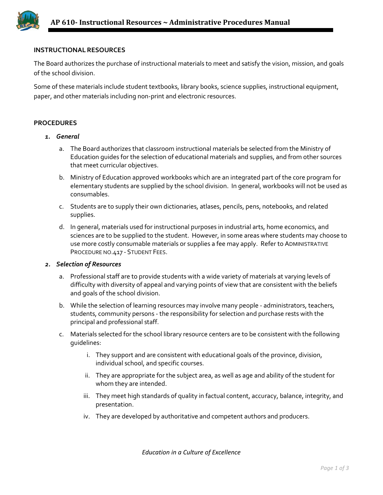## **INSTRUCTIONAL RESOURCES**

The Board authorizes the purchase of instructional materials to meet and satisfy the vision, mission, and goals of the school division.

Some of these materials include student textbooks, library books, science supplies, instructional equipment, paper, and other materials including non-print and electronic resources.

## **PROCEDURES**

- *1. General* 
	- a. The Board authorizes that classroom instructional materials be selected from the Ministry of Education guides for the selection of educational materials and supplies, and from other sources that meet curricular objectives.
	- b. Ministry of Education approved workbooks which are an integrated part of the core program for elementary students are supplied by the school division. In general, workbooks will not be used as consumables.
	- c. Students are to supply their own dictionaries, atlases, pencils, pens, notebooks, and related supplies.
	- d. In general, materials used for instructional purposes in industrial arts, home economics, and sciences are to be supplied to the student. However, in some areas where students may choose to use more costly consumable materials or supplies a fee may apply. Refer to ADMINISTRATIVE PROCEDURE NO.417 - STUDENT FEES.

## *2. Selection of Resources*

- a. Professional staff are to provide students with a wide variety of materials at varying levels of difficulty with diversity of appeal and varying points of view that are consistent with the beliefs and goals of the school division.
- b. While the selection of learning resources may involve many people administrators, teachers, students, community persons - the responsibility for selection and purchase rests with the principal and professional staff.
- c. Materials selected for the school library resource centers are to be consistent with the following guidelines:
	- i. They support and are consistent with educational goals of the province, division, individual school, and specific courses.
	- ii. They are appropriate for the subject area, as well as age and ability of the student for whom they are intended.
	- iii. They meet high standards of quality in factual content, accuracy, balance, integrity, and presentation.
	- iv. They are developed by authoritative and competent authors and producers.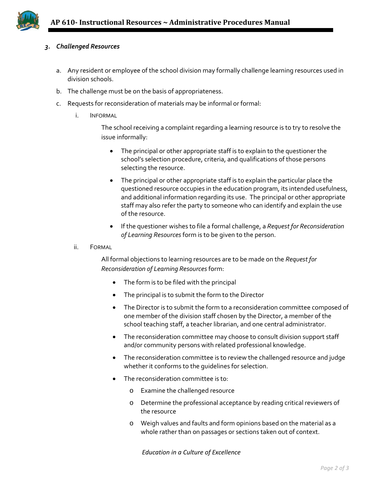

## *3. Challenged Resources*

- a. Any resident or employee of the school division may formally challenge learning resources used in division schools.
- b. The challenge must be on the basis of appropriateness.
- c. Requests for reconsideration of materials may be informal or formal:
	- i. INFORMAL

The school receiving a complaint regarding a learning resource is to try to resolve the issue informally:

- The principal or other appropriate staff is to explain to the questioner the school's selection procedure, criteria, and qualifications of those persons selecting the resource.
- The principal or other appropriate staff is to explain the particular place the questioned resource occupies in the education program, its intended usefulness, and additional information regarding its use. The principal or other appropriate staff may also refer the party to someone who can identify and explain the use of the resource.
- If the questioner wishes to file a formal challenge, a *Request for Reconsideration of Learning Resources* form is to be given to the person.
- ii. FORMAL

All formal objections to learning resources are to be made on the *Request for Reconsideration of Learning Resources* form:

- The form is to be filed with the principal
- The principal is to submit the form to the Director
- The Director is to submit the form to a reconsideration committee composed of one member of the division staff chosen by the Director, a member of the school teaching staff, a teacher librarian, and one central administrator.
- The reconsideration committee may choose to consult division support staff and/or community persons with related professional knowledge.
- The reconsideration committee is to review the challenged resource and judge whether it conforms to the guidelines for selection.
- The reconsideration committee is to:
	- o Examine the challenged resource
	- o Determine the professional acceptance by reading critical reviewers of the resource
	- o Weigh values and faults and form opinions based on the material as a whole rather than on passages or sections taken out of context.

*Education in a Culture of Excellence*